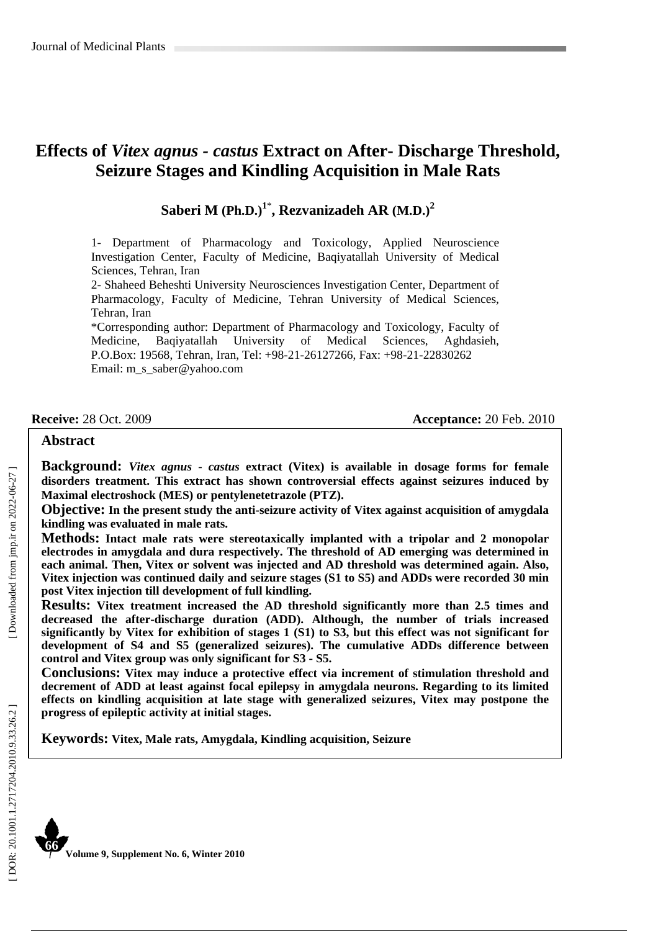# **Effects of** *Vitex agnus - castus* **Extract on After- Discharge Threshold, Seizure Stages and Kindling Acquisition in Male Rats**

**Saberi M (Ph.D.) 1** \* **, Rezvanizadeh AR (M.D.) 2**

1- Department of Pharmacology and Toxicology, Applied Neuroscience Investigation Center, Faculty of Medicine, Baqiyatallah University of Medical Sciences, Tehran, Iran

2- Shaheed Beheshti University Neurosciences Investigation Center, Department of Pharmacology, Faculty of Medicine, Tehran University of Medical Sciences, Tehran, Iran

\*Corresponding author: Department of Pharmacology and Toxicology, Faculty of Medicine, Baqiyatallah University of Medical Sciences, Aghdasieh, P.O.Box: 19568, Tehran, Iran, Tel: +98-21-26127266, Fax: +98-21-22830262 Email: m\_s\_saber@yahoo.com

**Receive:** 28 Oct. 2009 **Acceptance:** 20 Feb. 2010

#### **Abstract**

**Background:** *Vitex agnus*  **-** *castus* **extract (Vitex) is available in dosage forms for female disorders treatment. This extract has shown controversial effects against seizures induced by Maximal electroshock (MES) or pentylenetetrazole (PTZ).**

**Objective: In the present study the anti-seizure activity of Vitex against acquisition of amygdala kindling was evaluated in male rats.** 

**Methods: Intact male rats were stereotaxically implanted with a tripolar and 2 monopolar electrodes in amygdala and dura respectively. The threshold of AD emerging was determined in each animal. Then, Vitex or solvent was injected and AD threshold was determined again. Also, Vitex injection was continued daily and seizure stages (S1 to S5) and ADDs were recorded 30 min post Vitex injection till development of full kindling.** 

**Results: Vitex treatment increased the AD threshold significantly more than 2.5 times and decreased the after-discharge duration (ADD). Although, the number of trials increased significantly by Vitex for exhibition of stages 1 (S1) to S3, but this effect was not significant for development of S4 and S5 (generalized seizures). The cumulative ADDs difference between control and Vitex group was only significant for S3 - S5.** 

**Conclusions: Vitex may induce a protective effect via increment of stimulation threshold and decrement of ADD at least against focal epilepsy in amygdala neurons. Regarding to its limited effects on kindling acquisition at late stage with generalized seizures, Vitex may postpone the progress of epileptic activity at initial stages.** 

**Keywords: Vitex, Male rats, Amygdala, Kindling acquisition, Seizure**



**Volume 9, Supplement No. 6, Winter 2010**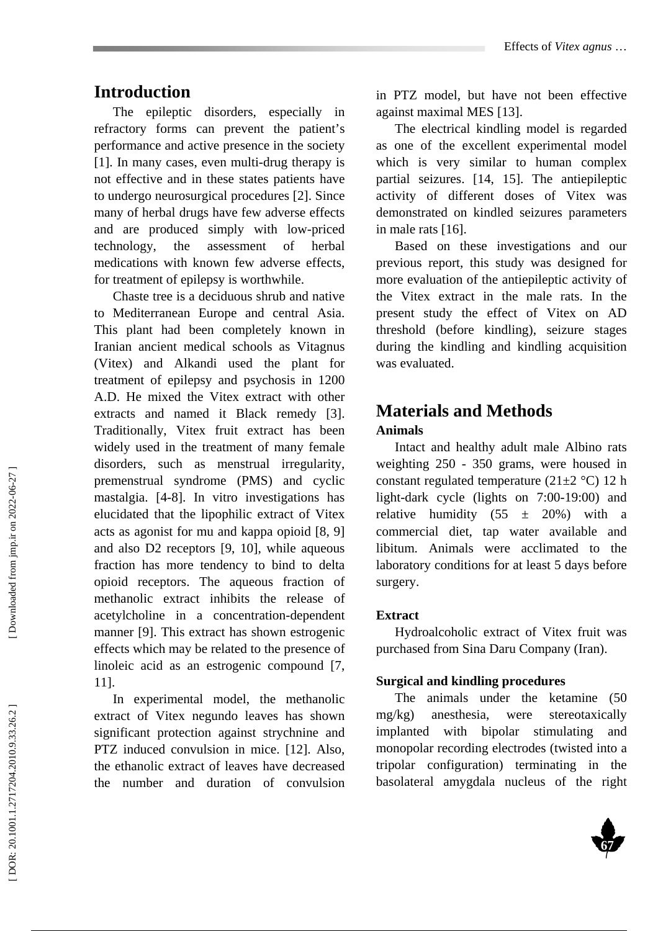## **Introduction**

The epileptic disorders, especially in refractory forms can prevent the patient's performance and active presence in the society [1]. In many cases, even multi-drug therapy is not effective and in these states patients have to undergo neurosurgical procedures [2]. Since many of herbal drugs have few adverse effects and are produced simply with low-priced technology, the assessment of herbal medications with known few adverse effects, for treatment of epilepsy is worthwhile.

Chaste tree is a deciduous shrub and native to Mediterranean Europe and central Asia. This plant had been completely known in Iranian ancient medical schools as Vitagnus (Vitex) and Alkandi used the plant for treatment of epilepsy and psychosis in 1200 A.D. He mixed the Vitex extract with other extracts and named it Black remedy [3]. Traditionally, Vitex fruit extract has been widely used in the treatment of many female disorders, such as menstrual irregularity, premenstrual syndrome (PMS) and cyclic mastalgia. [4-8]. In vitro investigations has elucidated that the lipophilic extract of Vitex acts as agonist for mu and kappa opioid [8, 9] and also D2 receptors [9, 10], while aqueous fraction has more tendency to bind to delta opioid receptors. The aqueous fraction of methanolic extract inhibits the release of acetylcholine in a concentration-dependent manner [9]. This extract has shown estrogenic effects which may be related to the presence of linoleic acid as an estrogenic compound [7, 11].

In experimental model, the methanolic extract of Vitex negundo leaves has shown significant protection against strychnine and PTZ induced convulsion in mice. [12]. Also, the ethanolic extract of leaves have decreased the number and duration of convulsion

in PTZ model, but have not been effective against maximal MES [13].

The electrical kindling model is regarded as one of the excellent experimental model which is very similar to human complex partial seizures. [14, 15]. The antiepileptic activity of different doses of Vitex was demonstrated on kindled seizures parameters in male rats [16].

Based on these investigations and our previous report, this study was designed for more evaluation of the antiepileptic activity of the Vitex extract in the male rats. In the present study the effect of Vitex on AD threshold (before kindling), seizure stages during the kindling and kindling acquisition was evaluated.

## **Materials and Methods Animals**

Intact and healthy adult male Albino rats weighting 250 - 350 grams, were housed in constant regulated temperature (21 $\pm$ 2 °C) 12 h light-dark cycle (lights on 7:00-19:00) and relative humidity  $(55 \pm 20\%)$  with a commercial diet, tap water available and libitum. Animals were acclimated to the laboratory conditions for at least 5 days before surgery.

### **Extract**

Hydroalcoholic extract of Vitex fruit was purchased from Sina Daru Company (Iran).

#### **Surgical and kindling procedures**

The animals under the ketamine (50 mg/kg) anesthesia, were stereotaxically implanted with bipolar stimulating and monopolar recording electrodes (twisted into a tripolar configuration) terminating in the basolateral amygdala nucleus of the right

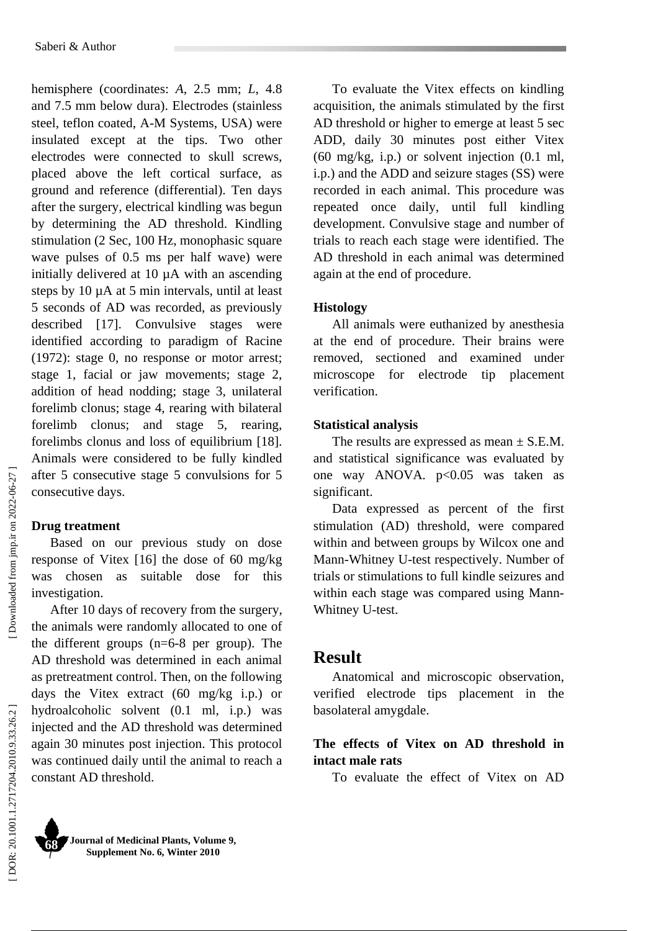hemisphere (coordinates: *A*, 2.5 mm; *L*, 4.8 and 7.5 mm below dura). Electrodes (stainless steel, teflon coated, A-M Systems, USA) were insulated except at the tips. Two other electrodes were connected to skull screws, placed above the left cortical surface, as ground and reference (differential). Ten days after the surgery, electrical kindling was begun by determining the AD threshold. Kindling stimulation (2 Sec, 100 Hz, monophasic square wave pulses of 0.5 ms per half wave) were initially delivered at 10 µA with an ascending steps by 10 µA at 5 min intervals, until at least 5 seconds of AD was recorded, as previously described [17]. Convulsive stages were identified according to paradigm of Racine (1972): stage 0, no response or motor arrest; stage 1, facial or jaw movements; stage 2, addition of head nodding; stage 3, unilateral forelimb clonus; stage 4, rearing with bilateral forelimb clonus; and stage 5, rearing, forelimbs clonus and loss of equilibrium [18]. Animals were considered to be fully kindled after 5 consecutive stage 5 convulsions for 5 consecutive days.

## **Drug treatment**

Based on our previous study on dose response of Vitex [16] the dose of 60 mg/kg was chosen as suitable dose for this investigation.

After 10 days of recovery from the surgery, the animals were randomly allocated to one of the different groups (n=6-8 per group). The AD threshold was determined in each animal as pretreatment control. Then, on the following days the Vitex extract (60 mg/kg i.p.) or hydroalcoholic solvent (0.1 ml, i.p.) was injected and the AD threshold was determined again 30 minutes post injection. This protocol was continued daily until the animal to reach a constant AD threshold.

To evaluate the Vitex effects on kindling acquisition, the animals stimulated by the first AD threshold or higher to emerge at least 5 sec ADD, daily 30 minutes post either Vitex (60 mg/kg, i.p.) or solvent injection (0.1 ml, i.p.) and the ADD and seizure stages (SS) were recorded in each animal. This procedure was repeated once daily, until full kindling development. Convulsive stage and number of trials to reach each stage were identified. The AD threshold in each animal was determined again at the end of procedure.

### **Histology**

All animals were euthanized by anesthesia at the end of procedure. Their brains were removed, sectioned and examined under microscope for electrode tip placement verification.

### **Statistical analysis**

The results are expressed as mean  $\pm$  S.E.M. and statistical significance was evaluated by one way ANOVA*.* p<0.05 was taken as significant.

Data expressed as percent of the first stimulation (AD) threshold, were compared within and between groups by Wilcox one and Mann-Whitney U-test respectively. Number of trials or stimulations to full kindle seizures and within each stage was compared using Mann-Whitney U-test.

# **Result**

Anatomical and microscopic observation, verified electrode tips placement in the basolateral amygdale.

## **The effects of Vitex on AD threshold in intact male rats**

To evaluate the effect of Vitex on AD

Downloaded from jmp.ir on 2022-06-27

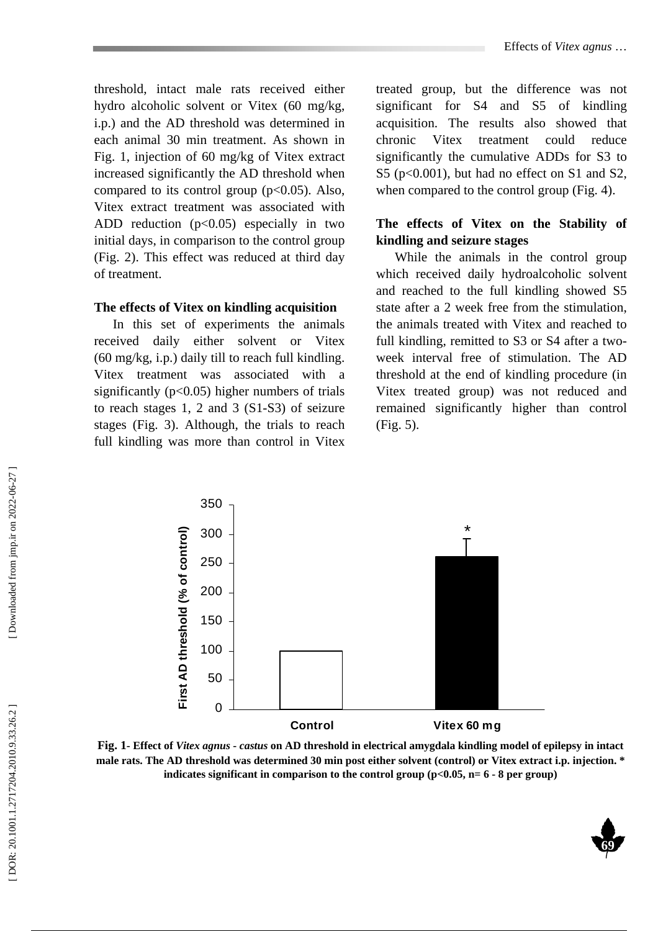threshold, intact male rats received either hydro alcoholic solvent or Vitex (60 mg/kg, i.p.) and the AD threshold was determined in each animal 30 min treatment. As shown in Fig. 1, injection of 60 mg/kg of Vitex extract increased significantly the AD threshold when compared to its control group  $(p<0.05)$ . Also, Vitex extract treatment was associated with ADD reduction  $(p<0.05)$  especially in two initial days, in comparison to the control group (Fig. 2). This effect was reduced at third day of treatment.

#### **The effects of Vitex on kindling acquisition**

In this set of experiments the animals received daily either solvent or Vitex (60 mg/kg, i.p.) daily till to reach full kindling. Vitex treatment was associated with a significantly ( $p<0.05$ ) higher numbers of trials to reach stages 1, 2 and 3 (S1-S3) of seizure stages (Fig. 3). Although, the trials to reach full kindling was more than control in Vitex

treated group, but the difference was not significant for S4 and S5 of kindling acquisition. The results also showed that chronic Vitex treatment could reduce significantly the cumulative ADDs for S3 to S5 (p<0.001), but had no effect on S1 and S2, when compared to the control group (Fig. 4).

## **The effects of Vitex on the Stability of kindling and seizure stages**

While the animals in the control group which received daily hydroalcoholic solvent and reached to the full kindling showed S5 state after a 2 week free from the stimulation, the animals treated with Vitex and reached to full kindling, remitted to S3 or S4 after a twoweek interval free of stimulation. The AD threshold at the end of kindling procedure (in Vitex treated group) was not reduced and remained significantly higher than control (Fig. 5).



**Fig. 1- Effect of** *Vitex agnus*  **-** *castus* **on AD threshold in electrical amygdala kindling model of epilepsy in intact male rats. The AD threshold was determined 30 min post either solvent (control) or Vitex extract i.p. injection. \* indicates significant in comparison to the control group (p<0.05, n= 6 - 8 per group)** 

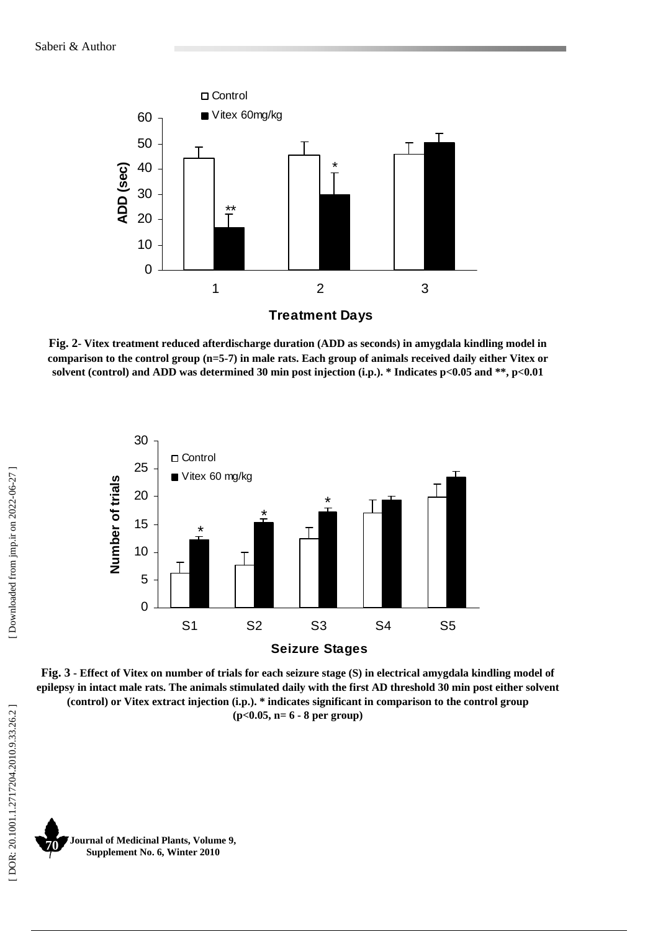

**Fig. 2- Vitex treatment reduced afterdischarge duration (ADD as seconds) in amygdala kindling model in comparison to the control group (n=5-7) in male rats. Each group of animals received daily either Vitex or solvent (control) and ADD was determined 30 min post injection (i.p.). \* Indicates p<0.05 and \*\*, p<0.01** 



**Fig. 3 - Effect of Vitex on number of trials for each seizure stage (S) in electrical amygdala kindling model of epilepsy in intact male rats. The animals stimulated daily with the first AD threshold 30 min post either solvent (control) or Vitex extract injection (i.p.). \* indicates significant in comparison to the control group (p<0.05, n= 6 - 8 per group)** 

**Journal of Medicinal Plants, Volume 9, Supplement No. 6, Winter 2010 70**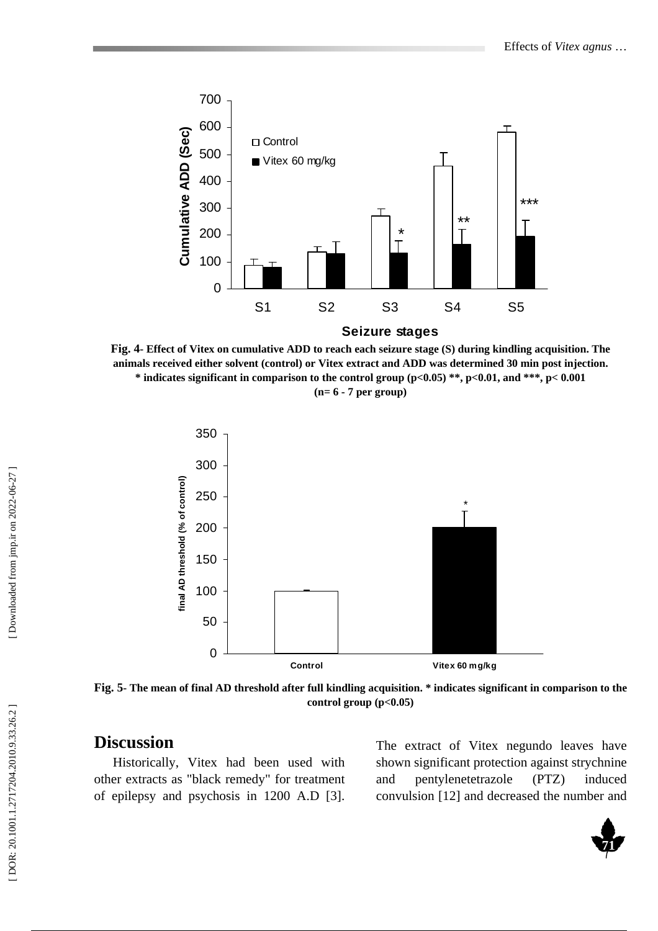

**Fig. 4- Effect of Vitex on cumulative ADD to reach each seizure stage (S) during kindling acquisition. The animals received either solvent (control) or Vitex extract and ADD was determined 30 min post injection. \* indicates significant in comparison to the control group (p<0.05) \*\*, p<0.01, and \*\*\*, p< 0.001 (n= 6 - 7 per group)** 



**Fig. 5- The mean of final AD threshold after full kindling acquisition. \* indicates significant in comparison to the control group (p<0.05)** 

# **Discussion**

Historically, Vitex had been used with other extracts as "black remedy" for treatment of epilepsy and psychosis in 1200 A.D [3].

The extract of Vitex negundo leaves have shown significant protection against strychnine and pentylenetetrazole (PTZ) induced convulsion [12] and decreased the number and

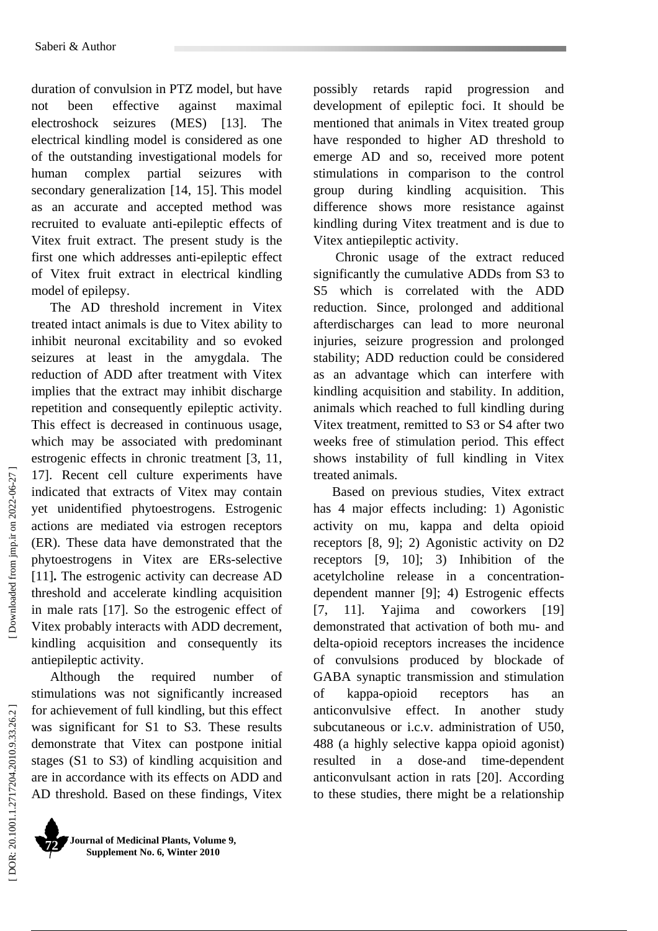duration of convulsion in PTZ model, but have not been effective against maximal electroshock seizures (MES) [13]. The electrical kindling model is considered as one of the outstanding investigational models for human complex partial seizures with secondary generalization [14, 15]. This model as an accurate and accepted method was recruited to evaluate anti-epileptic effects of Vitex fruit extract. The present study is the first one which addresses anti-epileptic effect of Vitex fruit extract in electrical kindling model of epilepsy.

The AD threshold increment in Vitex treated intact animals is due to Vitex ability to inhibit neuronal excitability and so evoked seizures at least in the amygdala. The reduction of ADD after treatment with Vitex implies that the extract may inhibit discharge repetition and consequently epileptic activity. This effect is decreased in continuous usage, which may be associated with predominant estrogenic effects in chronic treatment [3, 11, 17]. Recent cell culture experiments have indicated that extracts of Vitex may contain yet unidentified phytoestrogens. Estrogenic actions are mediated via estrogen receptors (ER). These data have demonstrated that the phytoestrogens in Vitex are ERs-selective [11] **.** The estrogenic activity can decrease AD threshold and accelerate kindling acquisition in male rats [17]. So the estrogenic effect of Vitex probably interacts with ADD decrement, kindling acquisition and consequently its antiepileptic activity.

Although the required number of stimulations was not significantly increased for achievement of full kindling, but this effect was significant for S1 to S3. These results demonstrate that Vitex can postpone initial stages (S1 to S3) of kindling acquisition and are in accordance with its effects on ADD and AD threshold. Based on these findings, Vitex

**Journal of Medicinal Plants, Volume 9, Supplement No. 6, Winter 2010 72** 

possibly retards rapid progression and development of epileptic foci. It should be mentioned that animals in Vitex treated group have responded to higher AD threshold to emerge AD and so, received more potent stimulations in comparison to the control group during kindling acquisition. This difference shows more resistance against kindling during Vitex treatment and is due to Vitex antiepileptic activity.

 Chronic usage of the extract reduced significantly the cumulative ADDs from S3 to S5 which is correlated with the ADD reduction. Since, prolonged and additional afterdischarges can lead to more neuronal injuries, seizure progression and prolonged stability; ADD reduction could be considered as an advantage which can interfere with kindling acquisition and stability. In addition, animals which reached to full kindling during Vitex treatment, remitted to S3 or S4 after two weeks free of stimulation period. This effect shows instability of full kindling in Vitex treated animals.

Based on previous studies, Vitex extract has 4 major effects including: 1) Agonistic activity on mu, kappa and delta opioid receptors [8, 9]; 2) Agonistic activity on D2 receptors [9, 10]; 3) Inhibition of the acetylcholine release in a concentrationdependent manner [9]; 4) Estrogenic effects [7, 11]. Yajima and coworkers [19] demonstrated that activation of both mu- and delta-opioid receptors increases the incidence of convulsions produced by blockade of GABA synaptic transmission and stimulation of kappa-opioid receptors has an anticonvulsive effect. In another study subcutaneous or i.c.v. administration of U50, 488 (a highly selective kappa opioid agonist) resulted in a dose-and time-dependent anticonvulsant action in rats [20]. According to these studies, there might be a relationship

Downloaded from jmp.ir on 2022-06-27 ]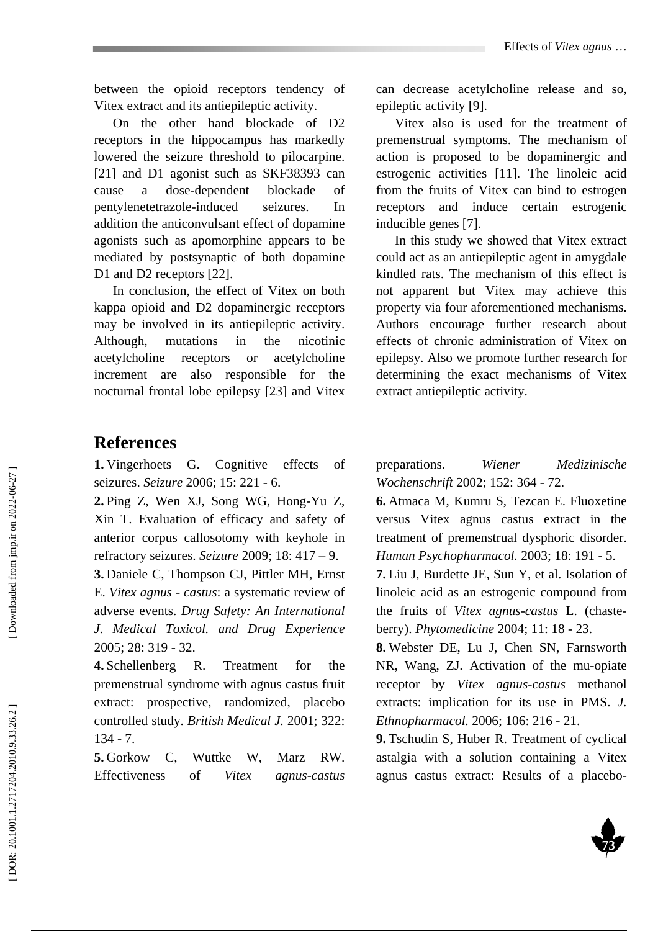between the opioid receptors tendency of Vitex extract and its antiepileptic activity.

On the other hand blockade of D2 receptors in the hippocampus has markedly lowered the seizure threshold to pilocarpine. [21] and D1 agonist such as SKF38393 can cause a dose-dependent blockade of pentylenetetrazole-induced seizures. In addition the anticonvulsant effect of dopamine agonists such as apomorphine appears to be mediated by postsynaptic of both dopamine D1 and D2 receptors [22].

In conclusion, the effect of Vitex on both kappa opioid and D2 dopaminergic receptors may be involved in its antiepileptic activity. Although, mutations in the nicotinic acetylcholine receptors or acetylcholine increment are also responsible for the nocturnal frontal lobe epilepsy [23] and Vitex

can decrease acetylcholine release and so, epileptic activity [9].

Vitex also is used for the treatment of premenstrual symptoms. The mechanism of action is proposed to be dopaminergic and estrogenic activities [11]. The linoleic acid from the fruits of Vitex can bind to estrogen receptors and induce certain estrogenic inducible genes [7].

In this study we showed that Vitex extract could act as an antiepileptic agent in amygdale kindled rats. The mechanism of this effect is not apparent but Vitex may achieve this property via four aforementioned mechanisms. Authors encourage further research about effects of chronic administration of Vitex on epilepsy. Also we promote further research for determining the exact mechanisms of Vitex extract antiepileptic activity.

## **References**

**1.** Vingerhoets G. Cognitive effects of seizures. *Seizure* 2006; 15: 221 - 6.

**2.** Ping Z, Wen XJ, Song WG, Hong-Yu Z, Xin T. Evaluation of efficacy and safety of anterior corpus callosotomy with keyhole in refractory seizures. *Seizure* 2009; 18: 417 – 9.

**3.** Daniele C, Thompson CJ, Pittler MH, Ernst E. *Vitex agnus*  - *castus*: a systematic review of adverse events. *Drug Safety: An International J. Medical Toxicol. and Drug Experience*  2005; 28: 319 - 32.

**4.** Schellenberg R. Treatment for the premenstrual syndrome with agnus castus fruit extract: prospective, randomized, placebo controlled study. *British Medical J.* 2001; 322: 134 - 7.

**5.** Gorkow C, Wuttke W, Marz RW. Effectiveness of *Vitex agnus-castus* preparations. *Wiener Medizinische Wochenschrift* 2002; 152: 364 - 72.

**6.** Atmaca M, Kumru S, Tezcan E. Fluoxetine versus Vitex agnus castus extract in the treatment of premenstrual dysphoric disorder. *Human Psychopharmacol.* 2003; 18: 191 - 5.

**7.** Liu J, Burdette JE, Sun Y, et al. Isolation of linoleic acid as an estrogenic compound from the fruits of *Vitex agnus-castus* L. (chasteberry). *Phytomedicine* 2004; 11: 18 - 23.

**8.** Webster DE, Lu J, Chen SN, Farnsworth NR, Wang, ZJ. Activation of the mu-opiate receptor by *Vitex agnus-castus* methanol extracts: implication for its use in PMS. *J. Ethnopharmacol.* 2006; 106: 216 - 21.

**9.** Tschudin S, Huber R. Treatment of cyclical astalgia with a solution containing a Vitex agnus castus extract: Results of a placebo-